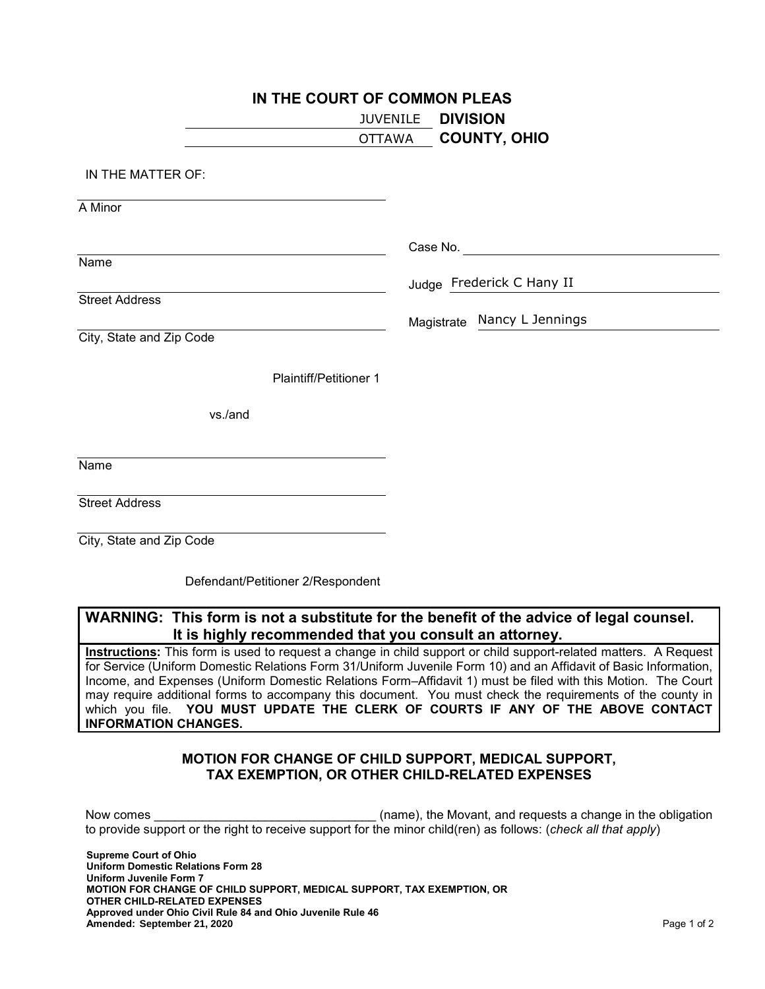| IN THE COURT OF COMMON PLEAS |                               |                 |                             |  |  |  |
|------------------------------|-------------------------------|-----------------|-----------------------------|--|--|--|
|                              |                               | <b>JUVENILE</b> | <b>DIVISION</b>             |  |  |  |
|                              |                               | OTTAWA          | <b>COUNTY, OHIO</b>         |  |  |  |
| IN THE MATTER OF:            |                               |                 |                             |  |  |  |
| A Minor                      |                               |                 |                             |  |  |  |
|                              |                               |                 |                             |  |  |  |
| Name                         |                               |                 |                             |  |  |  |
|                              |                               |                 | Judge Frederick C Hany II   |  |  |  |
| <b>Street Address</b>        |                               |                 |                             |  |  |  |
|                              |                               |                 | Magistrate Nancy L Jennings |  |  |  |
| City, State and Zip Code     |                               |                 |                             |  |  |  |
|                              | <b>Plaintiff/Petitioner 1</b> |                 |                             |  |  |  |
|                              | vs./and                       |                 |                             |  |  |  |
| Name                         |                               |                 |                             |  |  |  |
|                              |                               |                 |                             |  |  |  |
| <b>Street Address</b>        |                               |                 |                             |  |  |  |
| City, State and Zip Code     |                               |                 |                             |  |  |  |

Defendant/Petitioner 2/Respondent

## **WARNING: This form is not a substitute for the benefit of the advice of legal counsel. It is highly recommended that you consult an attorney.**

**Instructions:** This form is used to request a change in child support or child support-related matters. A Request for Service (Uniform Domestic Relations Form 31/Uniform Juvenile Form 10) and an Affidavit of Basic Information, Income, and Expenses (Uniform Domestic Relations Form–Affidavit 1) must be filed with this Motion. The Court may require additional forms to accompany this document. You must check the requirements of the county in which you file. **YOU MUST UPDATE THE CLERK OF COURTS IF ANY OF THE ABOVE CONTACT INFORMATION CHANGES.**

## **MOTION FOR CHANGE OF CHILD SUPPORT, MEDICAL SUPPORT, TAX EXEMPTION, OR OTHER CHILD-RELATED EXPENSES**

Now comes \_\_\_\_\_\_\_\_\_\_\_\_\_\_\_\_\_\_\_\_\_\_\_\_\_\_\_\_\_\_\_\_ (name), the Movant, and requests a change in the obligation to provide support or the right to receive support for the minor child(ren) as follows: (*check all that apply*)

**Supreme Court of Ohio Uniform Domestic Relations Form 28 Uniform Juvenile Form 7 MOTION FOR CHANGE OF CHILD SUPPORT, MEDICAL SUPPORT, TAX EXEMPTION, OR OTHER CHILD-RELATED EXPENSES Approved under Ohio Civil Rule 84 and Ohio Juvenile Rule 46 Amended:** Page 1 of 2 **September 21, 2020**